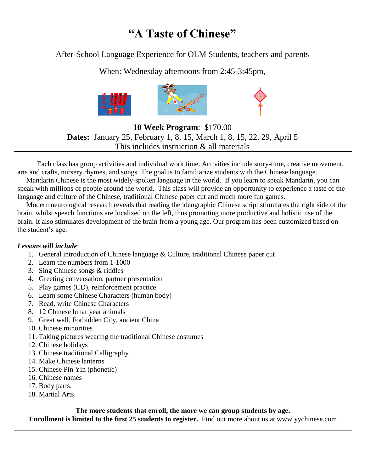# **"A Taste of Chinese"**

After-School Language Experience for OLM Students, teachers and parents

When: Wednesday afternoons from 2:45-3:45pm,



**10 Week Program**: \$170.00 **Dates:** January 25, February 1, 8, 15, March 1, 8, 15, 22, 29, April 5 This includes instruction & all materials

 Each class has group activities and individual work time. Activities include story-time, creative movement, arts and crafts, nursery rhymes, and songs. The goal is to familiarize students with the Chinese language.

 Mandarin Chinese is the most widely-spoken language in the world. If you learn to speak Mandarin, you can speak with millions of people around the world. This class will provide an opportunity to experience a taste of the language and culture of the Chinese, traditional Chinese paper cut and much more fun games.

 Modern neurological research reveals that reading the ideographic Chinese script stimulates the right side of the brain, whilst speech functions are localized on the left, thus promoting more productive and holistic use of the brain. It also stimulates development of the brain from a young age. Our program has been customized based on the student's age.

### *Lessons will include*:

- 1. General introduction of Chinese language & Culture, traditional Chinese paper cut
- 2. Learn the numbers from 1-1000
- 3. Sing Chinese songs & riddles
- 4. Greeting conversation, partner presentation
- 5. Play games (CD), reinforcement practice
- 6. Learn some Chinese Characters (human body)
- 7. Read, write Chinese Characters
- 8. 12 Chinese lunar year animals
- 9. Great wall, Forbidden City, ancient China
- 10. Chinese minorities
- 11. Taking pictures wearing the traditional Chinese costumes
- 12. Chinese holidays
- 13. Chinese traditional Calligraphy
- 14. Make Chinese lanterns
- 15. Chinese Pin Yin (phonetic)
- 16. Chinese names
- 17. Body parts.
- 18. Martial Arts.

### **The more students that enroll, the more we can group students by age.**

**Enrollment is limited to the first 25 students to register.** Find out more about us at www.yychinese.com